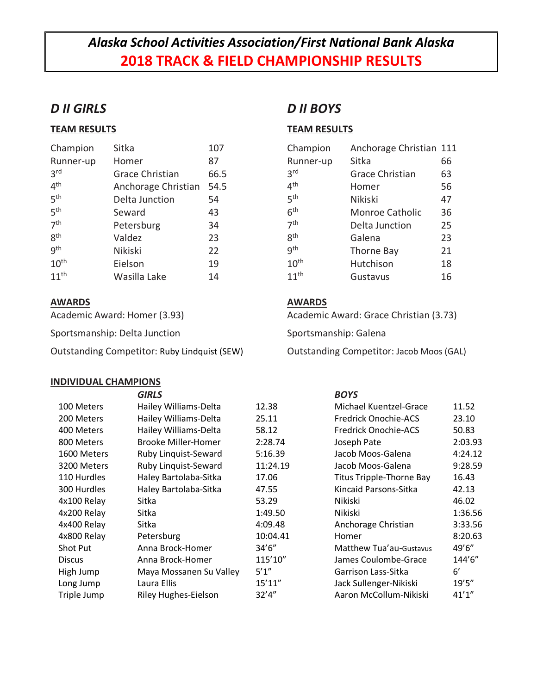# *Alaska School Activities Association/First National Bank Alaska* **2018 TRACK & FIELD CHAMPIONSHIP RESULTS**

## *D II GIRLS*

### **TEAM RESULTS**

| Champion         | Sitka               | 107  |
|------------------|---------------------|------|
| Runner-up        | Homer               | 87   |
| 3 <sup>rd</sup>  | Grace Christian     | 66.5 |
| 4 <sup>th</sup>  | Anchorage Christian | 54.5 |
| 5 <sup>th</sup>  | Delta Junction      | 54   |
| 5 <sup>th</sup>  | Seward              | 43   |
| 7 <sup>th</sup>  | Petersburg          | 34   |
| gth              | Valdez              | 23   |
| gth              | <b>Nikiski</b>      | 22   |
| 10 <sup>th</sup> | Eielson             | 19   |
| $11^{th}$        | Wasilla Lake        | 14   |

### **AWARDS**

Academic Award: Homer (3.93)

Sportsmanship: Delta Junction

Outstanding Competitor: Ruby Lindquist (SEW)

#### **INDIVIDUAL CHAMPIONS**

# *D II BOYS*

### **TEAM RESULTS**

| Champion         | Anchorage Christian 111 |    |
|------------------|-------------------------|----|
| Runner-up        | Sitka                   | 66 |
| 3 <sup>rd</sup>  | <b>Grace Christian</b>  | 63 |
| 4 <sup>th</sup>  | Homer                   | 56 |
| 5 <sup>th</sup>  | Nikiski                 | 47 |
| 6 <sup>th</sup>  | Monroe Catholic         | 36 |
| 7 <sup>th</sup>  | Delta Junction          | 25 |
| <b>g</b> th      | Galena                  | 23 |
| gth              | Thorne Bay              | 21 |
| 10 <sup>th</sup> | Hutchison               | 18 |
| $11^{th}$        | Gustavus                | 16 |

### **AWARDS**

Academic Award: Grace Christian (3.73)

Sportsmanship: Galena

Outstanding Competitor: Jacob Moos (GAL)

|               | <b>GIRLS</b>                |          | <b>BOYS</b>                 |              |
|---------------|-----------------------------|----------|-----------------------------|--------------|
| 100 Meters    | Hailey Williams-Delta       | 12.38    | Michael Kuentzel-Grace      | 11.52        |
| 200 Meters    | Hailey Williams-Delta       | 25.11    | <b>Fredrick Onochie-ACS</b> | 23.10        |
| 400 Meters    | Hailey Williams-Delta       | 58.12    | <b>Fredrick Onochie-ACS</b> | 50.83        |
| 800 Meters    | Brooke Miller-Homer         | 2:28.74  | Joseph Pate                 | 2:03.93      |
| 1600 Meters   | Ruby Linquist-Seward        | 5:16.39  | Jacob Moos-Galena           | 4:24.12      |
| 3200 Meters   | Ruby Linquist-Seward        | 11:24.19 | Jacob Moos-Galena           | 9:28.59      |
| 110 Hurdles   | Haley Bartolaba-Sitka       | 17.06    | Titus Tripple-Thorne Bay    | 16.43        |
| 300 Hurdles   | Haley Bartolaba-Sitka       | 47.55    | Kincaid Parsons-Sitka       | 42.13        |
| 4x100 Relay   | Sitka                       | 53.29    | Nikiski                     | 46.02        |
| 4x200 Relay   | Sitka                       | 1:49.50  | Nikiski                     | 1:36.56      |
| 4x400 Relay   | Sitka                       | 4:09.48  | Anchorage Christian         | 3:33.56      |
| 4x800 Relay   | Petersburg                  | 10:04.41 | Homer                       | 8:20.63      |
| Shot Put      | Anna Brock-Homer            | 34'6''   | Matthew Tua'au-Gustavus     | 49'6"        |
| <b>Discus</b> | Anna Brock-Homer            | 115'10"  | James Coulombe-Grace        | 144'6"       |
| High Jump     | Maya Mossanen Su Valley     | 5'1''    | Garrison Lass-Sitka         | $6^{\prime}$ |
| Long Jump     | Laura Ellis                 | 15'11''  | Jack Sullenger-Nikiski      | 19'5''       |
| Triple Jump   | <b>Riley Hughes-Eielson</b> | 32'4''   | Aaron McCollum-Nikiski      | 41'1''       |
|               |                             |          |                             |              |